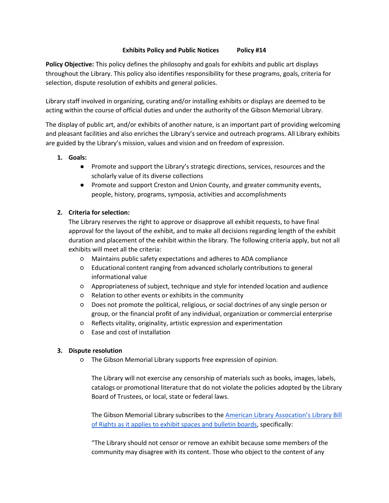## **Exhibits Policy and Public Notices Policy #14**

**Policy Objective:** This policy defines the philosophy and goals for exhibits and public art displays throughout the Library. This policy also identifies responsibility for these programs, goals, criteria for selection, dispute resolution of exhibits and general policies.

Library staff involved in organizing, curating and/or installing exhibits or displays are deemed to be acting within the course of official duties and under the authority of the Gibson Memorial Library.

The display of public art, and/or exhibits of another nature, is an important part of providing welcoming and pleasant facilities and also enriches the Library's service and outreach programs. All Library exhibits are guided by the Library's mission, values and vision and on freedom of expression.

## **1. Goals:**

- Promote and support the Library's strategic directions, services, resources and the scholarly value of its diverse collections
- Promote and support Creston and Union County, and greater community events, people, history, programs, symposia, activities and accomplishments

# **2. Criteria for selection:**

The Library reserves the right to approve or disapprove all exhibit requests, to have final approval for the layout of the exhibit, and to make all decisions regarding length of the exhibit duration and placement of the exhibit within the library. The following criteria apply, but not all exhibits will meet all the criteria:

- Maintains public safety expectations and adheres to ADA compliance
- Educational content ranging from advanced scholarly contributions to general informational value
- Appropriateness of subject, technique and style for intended location and audience
- Relation to other events or exhibits in the community
- Does not promote the political, religious, or social doctrines of any single person or group, or the financial profit of any individual, organization or commercial enterprise
- Reflects vitality, originality, artistic expression and experimentation
- Ease and cost of installation

#### **3. Dispute resolution**

○ The Gibson Memorial Library supports free expression of opinion.

The Library will not exercise any censorship of materials such as books, images, labels, catalogs or promotional literature that do not violate the policies adopted by the Library Board of Trustees, or local, state or federal laws.

The Gibson Memorial Library subscribes to the American Library As[socation's Library Bill](http://www.ala.org/advocacy/intfreedom/librarybill/interpretations/exhibitsdisplaysbulletinboards#:~:text=Library%20workers%20should%20not%20censor,or%20affiliations%20of%20the%20sponsors.)  [of Rights as it applies to exhibit spaces and bulletin boards,](http://www.ala.org/advocacy/intfreedom/librarybill/interpretations/exhibitsdisplaysbulletinboards#:~:text=Library%20workers%20should%20not%20censor,or%20affiliations%20of%20the%20sponsors.) specifically:

"The Library should not censor or remove an exhibit because some members of the community may disagree with its content. Those who object to the content of any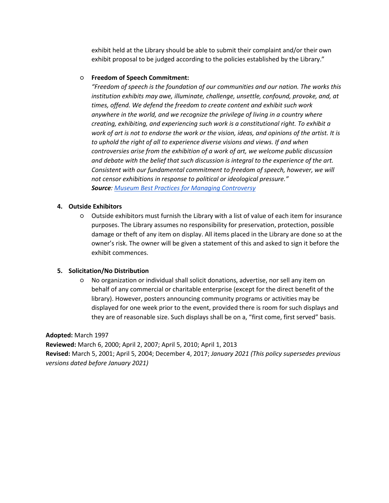exhibit held at the Library should be able to submit their complaint and/or their own exhibit proposal to be judged according to the policies established by the Library."

## ○ **Freedom of Speech Commitment:**

*"Freedom of speech is the foundation of our communities and our nation. The works this institution exhibits may awe, illuminate, challenge, unsettle, confound, provoke, and, at times, offend. We defend the freedom to create content and exhibit such work anywhere in the world, and we recognize the privilege of living in a country where creating, exhibiting, and experiencing such work is a constitutional right. To exhibit a work of art is not to endorse the work or the vision, ideas, and opinions of the artist. It is*  to uphold the right of all to experience diverse visions and views. If and when *controversies arise from the exhibition of a work of art, we welcome public discussion and debate with the belief that such discussion is integral to the experience of the art. Consistent with our fundamental commitment to freedom of speech, however, we will not censor exhibitions in response to political or ideological pressure." Source: [Museum Best Practices for Managing Controversy](https://ncac.org/wp-content/uploads/2019/07/Museum-Best-Practices-2019.pdf)*

## **4. Outside Exhibitors**

○ Outside exhibitors must furnish the Library with a list of value of each item for insurance purposes. The Library assumes no responsibility for preservation, protection, possible damage or theft of any item on display. All items placed in the Library are done so at the owner's risk. The owner will be given a statement of this and asked to sign it before the exhibit commences.

# **5. Solicitation/No Distribution**

○ No organization or individual shall solicit donations, advertise, nor sell any item on behalf of any commercial or charitable enterprise (except for the direct benefit of the library). However, posters announcing community programs or activities may be displayed for one week prior to the event, provided there is room for such displays and they are of reasonable size. Such displays shall be on a, "first come, first served" basis.

#### **Adopted:** March 1997

**Reviewed:** March 6, 2000; April 2, 2007; April 5, 2010; April 1, 2013 **Revised:** March 5, 2001; April 5, 2004; December 4, 2017; *January 2021 (This policy supersedes previous versions dated before January 2021)*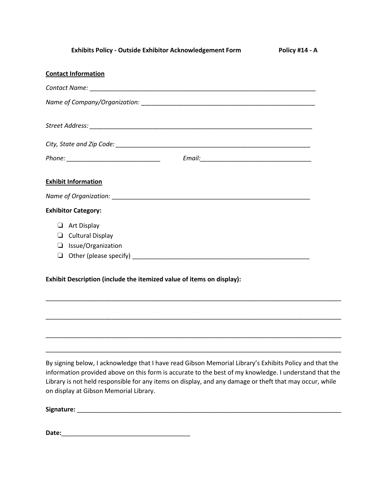| <b>Exhibits Policy - Outside Exhibitor Acknowledgement Form</b>       | Policy #14 - A |
|-----------------------------------------------------------------------|----------------|
| <b>Contact Information</b>                                            |                |
|                                                                       |                |
|                                                                       |                |
|                                                                       |                |
|                                                                       |                |
|                                                                       |                |
| <b>Exhibit Information</b>                                            |                |
|                                                                       |                |
| <b>Exhibitor Category:</b>                                            |                |
| $\Box$ Art Display                                                    |                |
| $\Box$ Cultural Display                                               |                |
| $\Box$ Issue/Organization                                             |                |
|                                                                       |                |
| Exhibit Description (include the itemized value of items on display): |                |
|                                                                       |                |
|                                                                       |                |
|                                                                       |                |
|                                                                       |                |

By signing below, I acknowledge that I have read Gibson Memorial Library's Exhibits Policy and that the information provided above on this form is accurate to the best of my knowledge. I understand that the Library is not held responsible for any items on display, and any damage or theft that may occur, while on display at Gibson Memorial Library.

\_\_\_\_\_\_\_\_\_\_\_\_\_\_\_\_\_\_\_\_\_\_\_\_\_\_\_\_\_\_\_\_\_\_\_\_\_\_\_\_\_\_\_\_\_\_\_\_\_\_\_\_\_\_\_\_\_\_\_\_\_\_\_\_\_\_\_\_\_\_\_\_\_\_\_\_\_\_\_\_\_\_\_\_\_

**Signature:** \_\_\_\_\_\_\_\_\_\_\_\_\_\_\_\_\_\_\_\_\_\_\_\_\_\_\_\_\_\_\_\_\_\_\_\_\_\_\_\_\_\_\_\_\_\_\_\_\_\_\_\_\_\_\_\_\_\_\_\_\_\_\_\_\_\_\_\_\_\_\_\_\_\_\_\_

**Date:**\_\_\_\_\_\_\_\_\_\_\_\_\_\_\_\_\_\_\_\_\_\_\_\_\_\_\_\_\_\_\_\_\_\_\_\_\_